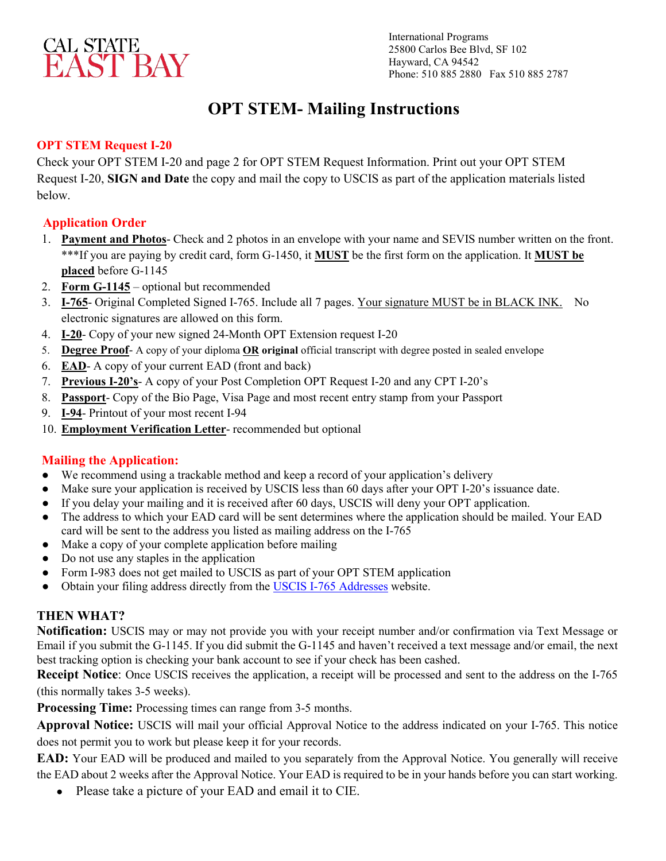

International Programs 25800 Carlos Bee Blvd, SF 102 Hayward, CA 94542 Phone: 510 885 2880 Fax 510 885 2787

## **OPT STEM- Mailing Instructions**

#### **OPT STEM Request I-20**

Check your OPT STEM I-20 and page 2 for OPT STEM Request Information. Print out your OPT STEM Request I-20, **SIGN and Date** the copy and mail the copy to USCIS as part of the application materials listed below.

#### **Application Order**

- 1. **Payment and Photos** Check and 2 photos in an envelope with your name and SEVIS number written on the front. \*\*\*If you are paying by credit card, form G-1450, it **MUST** be the first form on the application. It **MUST be placed** before G-1145
- 2. **Form G-1145** optional but recommended
- 3. **I-765** Original Completed Signed I-765. Include all 7 pages. Your signature MUST be in BLACK INK. No electronic signatures are allowed on this form.
- 4. **I-20** Copy of your new signed 24-Month OPT Extension request I-20
- 5. **Degree Proof** A copy of your diploma **OR original** official transcript with degree posted in sealed envelope
- 6. **EAD** A copy of your current EAD (front and back)
- 7. **Previous I-20's** A copy of your Post Completion OPT Request I-20 and any CPT I-20's
- 8. **Passport** Copy of the Bio Page, Visa Page and most recent entry stamp from your Passport
- 9. **I-94** Printout of your most recent I-94
- 10. **Employment Verification Letter** recommended but optional

#### **Mailing the Application:**

- We recommend using a trackable method and keep a record of your application's delivery
- Make sure your application is received by USCIS less than 60 days after your OPT I-20's issuance date.
- If you delay your mailing and it is received after 60 days, USCIS will deny your OPT application.
- The address to which your EAD card will be sent determines where the application should be mailed. Your EAD card will be sent to the address you listed as mailing address on the I-765
- Make a copy of your complete application before mailing
- Do not use any staples in the application
- Form I-983 does not get mailed to USCIS as part of your OPT STEM application
- Obtain your filing address directly from the [USCIS I-765 Addresses](https://www.uscis.gov/i-765-addresses) website.

#### **THEN WHAT?**

**Notification:** USCIS may or may not provide you with your receipt number and/or confirmation via Text Message or Email if you submit the G-1145. If you did submit the G-1145 and haven't received a text message and/or email, the next best tracking option is checking your bank account to see if your check has been cashed.

**Receipt Notice**: Once USCIS receives the application, a receipt will be processed and sent to the address on the I-765  (this normally takes 3-5 weeks).

**Processing Time:** Processing times can range from 3-5 months.

**Approval Notice:** USCIS will mail your official Approval Notice to the address indicated on your I-765. This notice does not permit you to work but please keep it for your records.

**EAD:** Your EAD will be produced and mailed to you separately from the Approval Notice. You generally will receive the EAD about 2 weeks after the Approval Notice. Your EAD is required to be in your hands before you can start working.

● Please take a picture of your EAD and email it to CIE.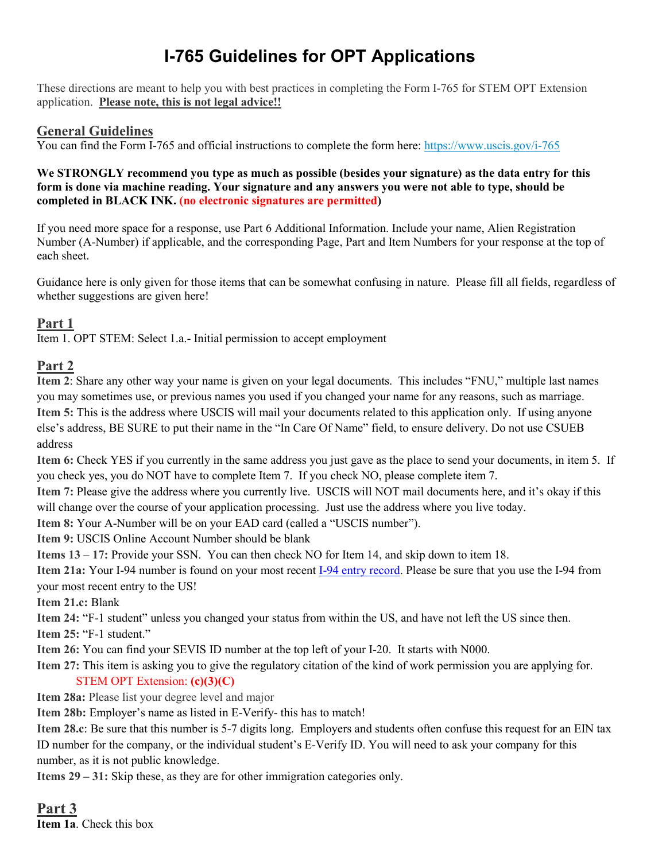# **I-765 Guidelines for OPT Applications**

These directions are meant to help you with best practices in completing the Form I-765 for STEM OPT Extension application. **Please note, this is not legal advice!!**

#### **General Guidelines**

You can find the Form I-765 and official instructions to complete the form here: <https://www.uscis.gov/i-765>

#### **We STRONGLY recommend you type as much as possible (besides your signature) as the data entry for this form is done via machine reading. Your signature and any answers you were not able to type, should be completed in BLACK INK. (no electronic signatures are permitted)**

If you need more space for a response, use Part 6 Additional Information. Include your name, Alien Registration Number (A-Number) if applicable, and the corresponding Page, Part and Item Numbers for your response at the top of each sheet.

Guidance here is only given for those items that can be somewhat confusing in nature. Please fill all fields, regardless of whether suggestions are given here!

#### **Part 1**

Item 1. OPT STEM: Select 1.a.- Initial permission to accept employment

#### **Part 2**

**Item 2**: Share any other way your name is given on your legal documents. This includes "FNU," multiple last names you may sometimes use, or previous names you used if you changed your name for any reasons, such as marriage. **Item 5:** This is the address where USCIS will mail your documents related to this application only. If using anyone else's address, BE SURE to put their name in the "In Care Of Name" field, to ensure delivery. Do not use CSUEB address

**Item 6:** Check YES if you currently in the same address you just gave as the place to send your documents, in item 5. If you check yes, you do NOT have to complete Item 7. If you check NO, please complete item 7.

**Item 7:** Please give the address where you currently live. USCIS will NOT mail documents here, and it's okay if this will change over the course of your application processing. Just use the address where you live today.

**Item 8:** Your A-Number will be on your EAD card (called a "USCIS number").

**Item 9:** USCIS Online Account Number should be blank

**Items 13 – 17:** Provide your SSN. You can then check NO for Item 14, and skip down to item 18.

**Item 21a:** Your I-94 number is found on your most recent [I-94 entry record.](https://i94.cbp.dhs.gov/I94/#/home) Please be sure that you use the I-94 from your most recent entry to the US!

**Item 21.c:** Blank

**Item 24:** "F-1 student" unless you changed your status from within the US, and have not left the US since then.

**Item 25:** "F-1 student."

**Item 26:** You can find your SEVIS ID number at the top left of your I-20. It starts with N000.

**Item 27:** This item is asking you to give the regulatory citation of the kind of work permission you are applying for. STEM OPT Extension: **(c)(3)(C)**

**Item 28a:** Please list your degree level and major

**Item 28b:** Employer's name as listed in E-Verify- this has to match!

**Item 28.c**: Be sure that this number is 5-7 digits long. Employers and students often confuse this request for an EIN tax ID number for the company, or the individual student's E-Verify ID. You will need to ask your company for this number, as it is not public knowledge.

**Items 29 – 31:** Skip these, as they are for other immigration categories only.